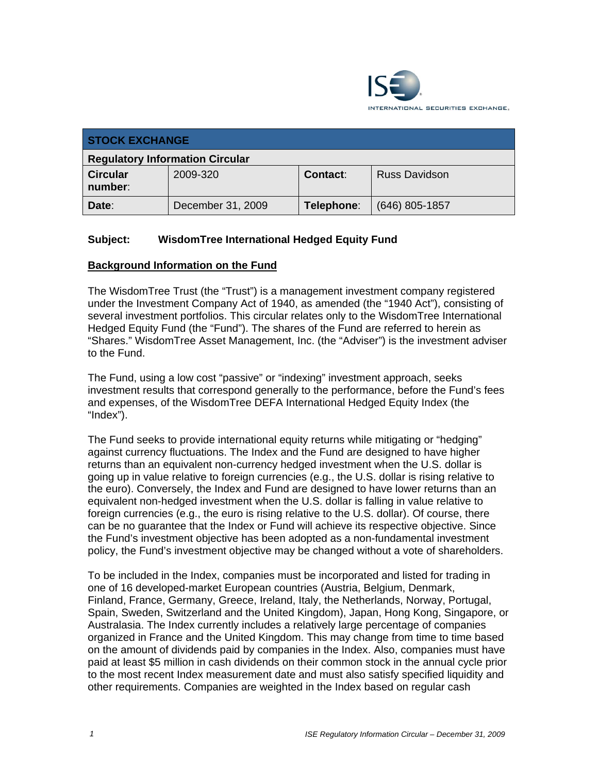

| <b>STOCK EXCHANGE</b>                  |                   |            |                      |  |  |
|----------------------------------------|-------------------|------------|----------------------|--|--|
| <b>Regulatory Information Circular</b> |                   |            |                      |  |  |
| <b>Circular</b><br>number:             | 2009-320          | Contact:   | <b>Russ Davidson</b> |  |  |
| Date:                                  | December 31, 2009 | Telephone: | $(646)$ 805-1857     |  |  |

## **Subject: WisdomTree International Hedged Equity Fund**

## **Background Information on the Fund**

The WisdomTree Trust (the "Trust") is a management investment company registered under the Investment Company Act of 1940, as amended (the "1940 Act"), consisting of several investment portfolios. This circular relates only to the WisdomTree International Hedged Equity Fund (the "Fund"). The shares of the Fund are referred to herein as "Shares." WisdomTree Asset Management, Inc. (the "Adviser") is the investment adviser to the Fund.

The Fund, using a low cost "passive" or "indexing" investment approach, seeks investment results that correspond generally to the performance, before the Fund's fees and expenses, of the WisdomTree DEFA International Hedged Equity Index (the "Index").

The Fund seeks to provide international equity returns while mitigating or "hedging" against currency fluctuations. The Index and the Fund are designed to have higher returns than an equivalent non-currency hedged investment when the U.S. dollar is going up in value relative to foreign currencies (e.g., the U.S. dollar is rising relative to the euro). Conversely, the Index and Fund are designed to have lower returns than an equivalent non-hedged investment when the U.S. dollar is falling in value relative to foreign currencies (e.g., the euro is rising relative to the U.S. dollar). Of course, there can be no guarantee that the Index or Fund will achieve its respective objective. Since the Fund's investment objective has been adopted as a non-fundamental investment policy, the Fund's investment objective may be changed without a vote of shareholders.

To be included in the Index, companies must be incorporated and listed for trading in one of 16 developed-market European countries (Austria, Belgium, Denmark, Finland, France, Germany, Greece, Ireland, Italy, the Netherlands, Norway, Portugal, Spain, Sweden, Switzerland and the United Kingdom), Japan, Hong Kong, Singapore, or Australasia. The Index currently includes a relatively large percentage of companies organized in France and the United Kingdom. This may change from time to time based on the amount of dividends paid by companies in the Index. Also, companies must have paid at least \$5 million in cash dividends on their common stock in the annual cycle prior to the most recent Index measurement date and must also satisfy specified liquidity and other requirements. Companies are weighted in the Index based on regular cash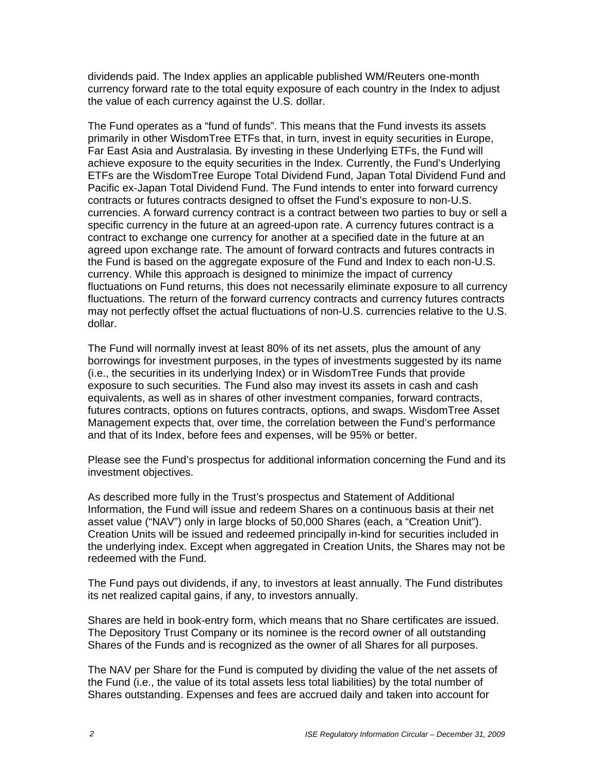dividends paid. The Index applies an applicable published WM/Reuters one-month currency forward rate to the total equity exposure of each country in the Index to adjust the value of each currency against the U.S. dollar.

The Fund operates as a "fund of funds". This means that the Fund invests its assets primarily in other WisdomTree ETFs that, in turn, invest in equity securities in Europe, Far East Asia and Australasia. By investing in these Underlying ETFs, the Fund will achieve exposure to the equity securities in the Index. Currently, the Fund's Underlying ETFs are the WisdomTree Europe Total Dividend Fund, Japan Total Dividend Fund and Pacific ex-Japan Total Dividend Fund. The Fund intends to enter into forward currency contracts or futures contracts designed to offset the Fund's exposure to non-U.S. currencies. A forward currency contract is a contract between two parties to buy or sell a specific currency in the future at an agreed-upon rate. A currency futures contract is a contract to exchange one currency for another at a specified date in the future at an agreed upon exchange rate. The amount of forward contracts and futures contracts in the Fund is based on the aggregate exposure of the Fund and Index to each non-U.S. currency. While this approach is designed to minimize the impact of currency fluctuations on Fund returns, this does not necessarily eliminate exposure to all currency fluctuations. The return of the forward currency contracts and currency futures contracts may not perfectly offset the actual fluctuations of non-U.S. currencies relative to the U.S. dollar.

The Fund will normally invest at least 80% of its net assets, plus the amount of any borrowings for investment purposes, in the types of investments suggested by its name (i.e., the securities in its underlying Index) or in WisdomTree Funds that provide exposure to such securities. The Fund also may invest its assets in cash and cash equivalents, as well as in shares of other investment companies, forward contracts, futures contracts, options on futures contracts, options, and swaps. WisdomTree Asset Management expects that, over time, the correlation between the Fund's performance and that of its Index, before fees and expenses, will be 95% or better.

Please see the Fund's prospectus for additional information concerning the Fund and its investment objectives.

As described more fully in the Trust's prospectus and Statement of Additional Information, the Fund will issue and redeem Shares on a continuous basis at their net asset value ("NAV") only in large blocks of 50,000 Shares (each, a "Creation Unit"). Creation Units will be issued and redeemed principally in-kind for securities included in the underlying index. Except when aggregated in Creation Units, the Shares may not be redeemed with the Fund.

The Fund pays out dividends, if any, to investors at least annually. The Fund distributes its net realized capital gains, if any, to investors annually.

Shares are held in book-entry form, which means that no Share certificates are issued. The Depository Trust Company or its nominee is the record owner of all outstanding Shares of the Funds and is recognized as the owner of all Shares for all purposes.

The NAV per Share for the Fund is computed by dividing the value of the net assets of the Fund (i.e., the value of its total assets less total liabilities) by the total number of Shares outstanding. Expenses and fees are accrued daily and taken into account for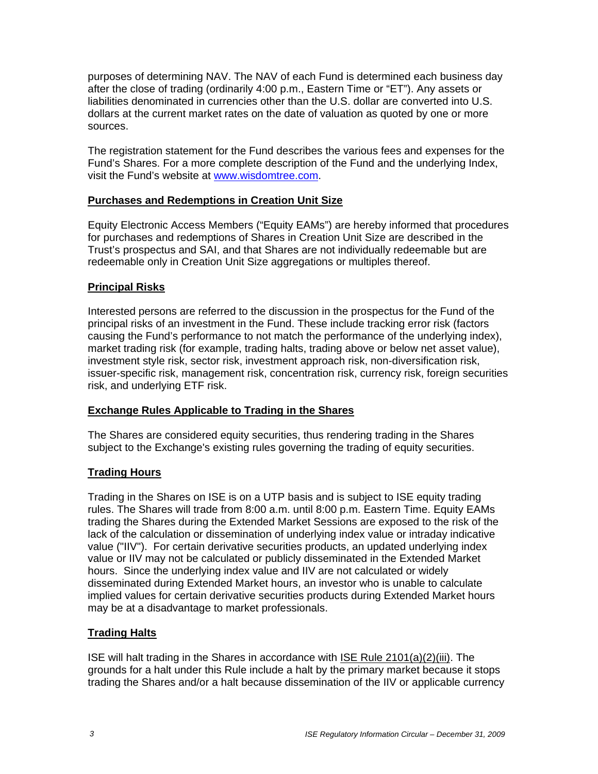purposes of determining NAV. The NAV of each Fund is determined each business day after the close of trading (ordinarily 4:00 p.m., Eastern Time or "ET"). Any assets or liabilities denominated in currencies other than the U.S. dollar are converted into U.S. dollars at the current market rates on the date of valuation as quoted by one or more sources.

The registration statement for the Fund describes the various fees and expenses for the Fund's Shares. For a more complete description of the Fund and the underlying Index, visit the Fund's website at www.wisdomtree.com.

## **Purchases and Redemptions in Creation Unit Size**

Equity Electronic Access Members ("Equity EAMs") are hereby informed that procedures for purchases and redemptions of Shares in Creation Unit Size are described in the Trust's prospectus and SAI, and that Shares are not individually redeemable but are redeemable only in Creation Unit Size aggregations or multiples thereof.

## **Principal Risks**

Interested persons are referred to the discussion in the prospectus for the Fund of the principal risks of an investment in the Fund. These include tracking error risk (factors causing the Fund's performance to not match the performance of the underlying index), market trading risk (for example, trading halts, trading above or below net asset value), investment style risk, sector risk, investment approach risk, non-diversification risk, issuer-specific risk, management risk, concentration risk, currency risk, foreign securities risk, and underlying ETF risk.

## **Exchange Rules Applicable to Trading in the Shares**

The Shares are considered equity securities, thus rendering trading in the Shares subject to the Exchange's existing rules governing the trading of equity securities.

#### **Trading Hours**

Trading in the Shares on ISE is on a UTP basis and is subject to ISE equity trading rules. The Shares will trade from 8:00 a.m. until 8:00 p.m. Eastern Time. Equity EAMs trading the Shares during the Extended Market Sessions are exposed to the risk of the lack of the calculation or dissemination of underlying index value or intraday indicative value ("IIV"). For certain derivative securities products, an updated underlying index value or IIV may not be calculated or publicly disseminated in the Extended Market hours. Since the underlying index value and IIV are not calculated or widely disseminated during Extended Market hours, an investor who is unable to calculate implied values for certain derivative securities products during Extended Market hours may be at a disadvantage to market professionals.

## **Trading Halts**

ISE will halt trading in the Shares in accordance with ISE Rule 2101(a)(2)(iii). The grounds for a halt under this Rule include a halt by the primary market because it stops trading the Shares and/or a halt because dissemination of the IIV or applicable currency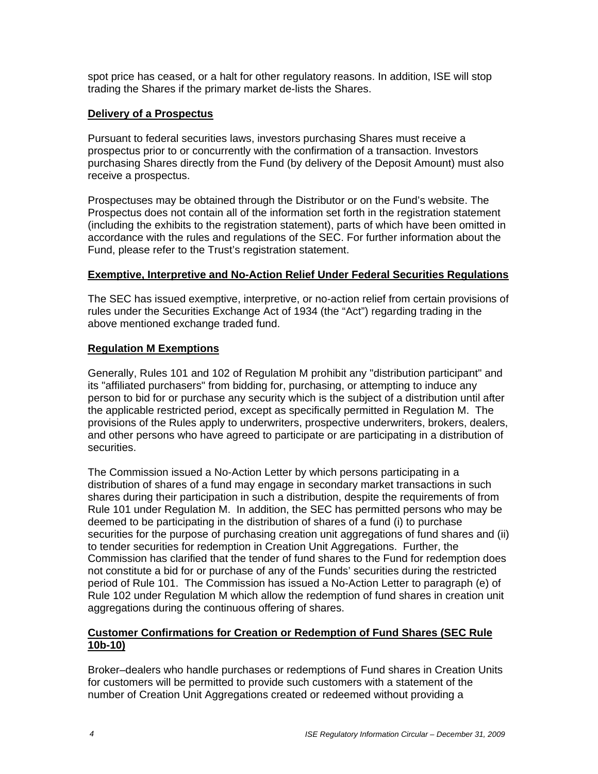spot price has ceased, or a halt for other regulatory reasons. In addition, ISE will stop trading the Shares if the primary market de-lists the Shares.

### **Delivery of a Prospectus**

Pursuant to federal securities laws, investors purchasing Shares must receive a prospectus prior to or concurrently with the confirmation of a transaction. Investors purchasing Shares directly from the Fund (by delivery of the Deposit Amount) must also receive a prospectus.

Prospectuses may be obtained through the Distributor or on the Fund's website. The Prospectus does not contain all of the information set forth in the registration statement (including the exhibits to the registration statement), parts of which have been omitted in accordance with the rules and regulations of the SEC. For further information about the Fund, please refer to the Trust's registration statement.

#### **Exemptive, Interpretive and No-Action Relief Under Federal Securities Regulations**

The SEC has issued exemptive, interpretive, or no-action relief from certain provisions of rules under the Securities Exchange Act of 1934 (the "Act") regarding trading in the above mentioned exchange traded fund.

## **Regulation M Exemptions**

Generally, Rules 101 and 102 of Regulation M prohibit any "distribution participant" and its "affiliated purchasers" from bidding for, purchasing, or attempting to induce any person to bid for or purchase any security which is the subject of a distribution until after the applicable restricted period, except as specifically permitted in Regulation M. The provisions of the Rules apply to underwriters, prospective underwriters, brokers, dealers, and other persons who have agreed to participate or are participating in a distribution of securities.

The Commission issued a No-Action Letter by which persons participating in a distribution of shares of a fund may engage in secondary market transactions in such shares during their participation in such a distribution, despite the requirements of from Rule 101 under Regulation M. In addition, the SEC has permitted persons who may be deemed to be participating in the distribution of shares of a fund (i) to purchase securities for the purpose of purchasing creation unit aggregations of fund shares and (ii) to tender securities for redemption in Creation Unit Aggregations. Further, the Commission has clarified that the tender of fund shares to the Fund for redemption does not constitute a bid for or purchase of any of the Funds' securities during the restricted period of Rule 101. The Commission has issued a No-Action Letter to paragraph (e) of Rule 102 under Regulation M which allow the redemption of fund shares in creation unit aggregations during the continuous offering of shares.

## **Customer Confirmations for Creation or Redemption of Fund Shares (SEC Rule 10b-10)**

Broker–dealers who handle purchases or redemptions of Fund shares in Creation Units for customers will be permitted to provide such customers with a statement of the number of Creation Unit Aggregations created or redeemed without providing a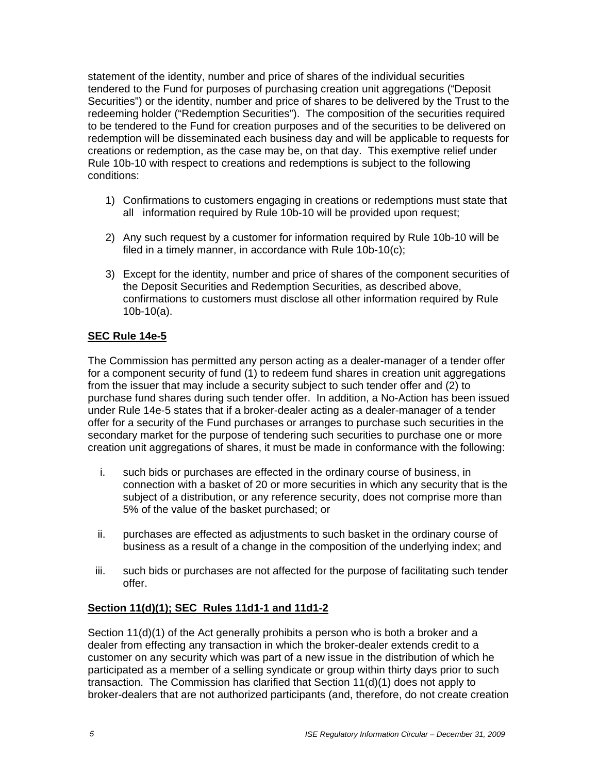statement of the identity, number and price of shares of the individual securities tendered to the Fund for purposes of purchasing creation unit aggregations ("Deposit Securities") or the identity, number and price of shares to be delivered by the Trust to the redeeming holder ("Redemption Securities"). The composition of the securities required to be tendered to the Fund for creation purposes and of the securities to be delivered on redemption will be disseminated each business day and will be applicable to requests for creations or redemption, as the case may be, on that day. This exemptive relief under Rule 10b-10 with respect to creations and redemptions is subject to the following conditions:

- 1) Confirmations to customers engaging in creations or redemptions must state that all information required by Rule 10b-10 will be provided upon request;
- 2) Any such request by a customer for information required by Rule 10b-10 will be filed in a timely manner, in accordance with Rule 10b-10(c);
- 3) Except for the identity, number and price of shares of the component securities of the Deposit Securities and Redemption Securities, as described above, confirmations to customers must disclose all other information required by Rule 10b-10(a).

## **SEC Rule 14e-5**

The Commission has permitted any person acting as a dealer-manager of a tender offer for a component security of fund (1) to redeem fund shares in creation unit aggregations from the issuer that may include a security subject to such tender offer and (2) to purchase fund shares during such tender offer. In addition, a No-Action has been issued under Rule 14e-5 states that if a broker-dealer acting as a dealer-manager of a tender offer for a security of the Fund purchases or arranges to purchase such securities in the secondary market for the purpose of tendering such securities to purchase one or more creation unit aggregations of shares, it must be made in conformance with the following:

- i. such bids or purchases are effected in the ordinary course of business, in connection with a basket of 20 or more securities in which any security that is the subject of a distribution, or any reference security, does not comprise more than 5% of the value of the basket purchased; or
- ii. purchases are effected as adjustments to such basket in the ordinary course of business as a result of a change in the composition of the underlying index; and
- iii. such bids or purchases are not affected for the purpose of facilitating such tender offer.

## **Section 11(d)(1); SEC Rules 11d1-1 and 11d1-2**

Section 11(d)(1) of the Act generally prohibits a person who is both a broker and a dealer from effecting any transaction in which the broker-dealer extends credit to a customer on any security which was part of a new issue in the distribution of which he participated as a member of a selling syndicate or group within thirty days prior to such transaction. The Commission has clarified that Section 11(d)(1) does not apply to broker-dealers that are not authorized participants (and, therefore, do not create creation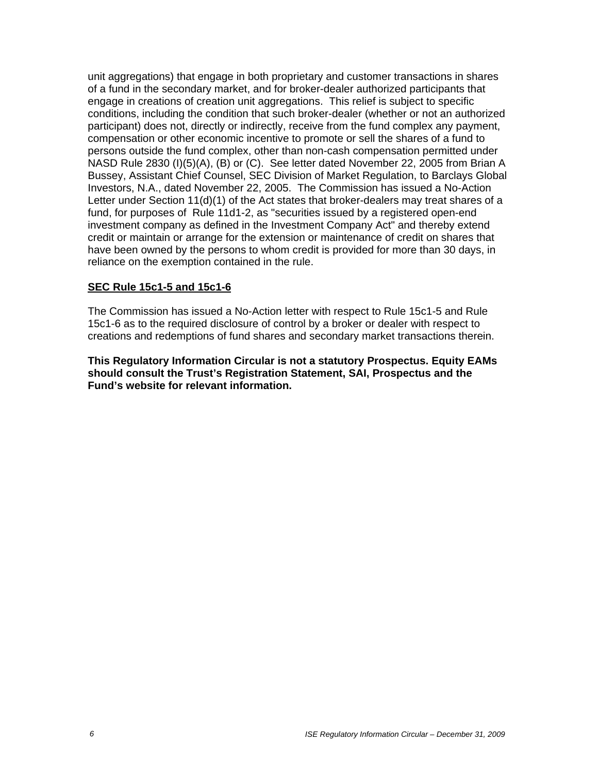unit aggregations) that engage in both proprietary and customer transactions in shares of a fund in the secondary market, and for broker-dealer authorized participants that engage in creations of creation unit aggregations. This relief is subject to specific conditions, including the condition that such broker-dealer (whether or not an authorized participant) does not, directly or indirectly, receive from the fund complex any payment, compensation or other economic incentive to promote or sell the shares of a fund to persons outside the fund complex, other than non-cash compensation permitted under NASD Rule 2830 (I)(5)(A), (B) or (C). See letter dated November 22, 2005 from Brian A Bussey, Assistant Chief Counsel, SEC Division of Market Regulation, to Barclays Global Investors, N.A., dated November 22, 2005. The Commission has issued a No-Action Letter under Section 11(d)(1) of the Act states that broker-dealers may treat shares of a fund, for purposes of Rule 11d1-2, as "securities issued by a registered open-end investment company as defined in the Investment Company Act" and thereby extend credit or maintain or arrange for the extension or maintenance of credit on shares that have been owned by the persons to whom credit is provided for more than 30 days, in reliance on the exemption contained in the rule.

### **SEC Rule 15c1-5 and 15c1-6**

The Commission has issued a No-Action letter with respect to Rule 15c1-5 and Rule 15c1-6 as to the required disclosure of control by a broker or dealer with respect to creations and redemptions of fund shares and secondary market transactions therein.

**This Regulatory Information Circular is not a statutory Prospectus. Equity EAMs should consult the Trust's Registration Statement, SAI, Prospectus and the Fund's website for relevant information.**